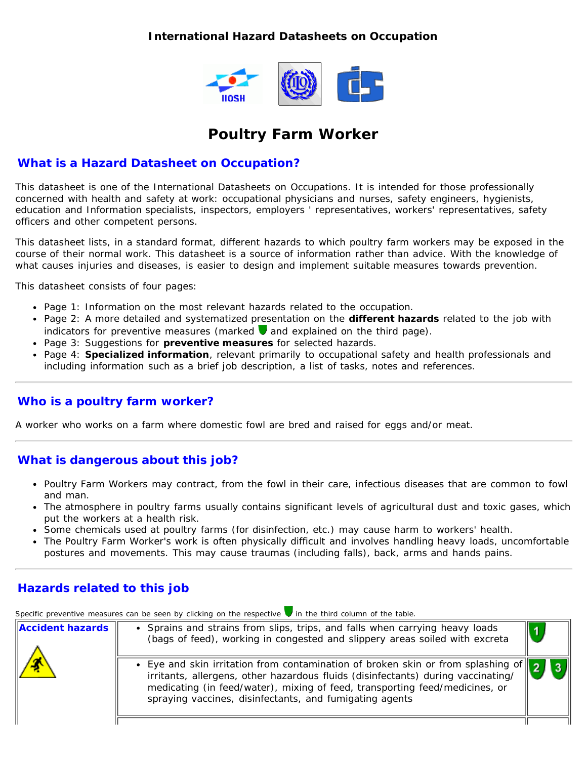#### **International Hazard Datasheets on Occupation**



# **Poultry Farm Worker**

#### **What is a Hazard Datasheet on Occupation?**

This datasheet is one of the International Datasheets on Occupations. It is intended for those professionally concerned with health and safety at work: occupational physicians and nurses, safety engineers, hygienists, education and Information specialists, inspectors, employers ' representatives, workers' representatives, safety officers and other competent persons.

This datasheet lists, in a standard format, different hazards to which poultry farm workers may be exposed in the course of their normal work. This datasheet is a source of information rather than advice. With the knowledge of what causes injuries and diseases, is easier to design and implement suitable measures towards prevention.

This datasheet consists of four pages:

- Page 1: Information on the most relevant hazards related to the occupation.
- Page 2: A more detailed and systematized presentation on the **different hazards** related to the job with indicators for preventive measures (marked  $\blacksquare$  and explained on the third page).
- Page 3: Suggestions for **preventive measures** for selected hazards.
- Page 4: **Specialized information**, relevant primarily to occupational safety and health professionals and including information such as a brief job description, a list of tasks, notes and references.

### **Who is a poultry farm worker?**

A worker who works on a farm where domestic fowl are bred and raised for eggs and/or meat.

### **What is dangerous about this job?**

- Poultry Farm Workers may contract, from the fowl in their care, infectious diseases that are common to fowl and man.
- The atmosphere in poultry farms usually contains significant levels of agricultural dust and toxic gases, which put the workers at a health risk.
- Some chemicals used at poultry farms (for disinfection, etc.) may cause harm to workers' health.
- The Poultry Farm Worker's work is often physically difficult and involves handling heavy loads, uncomfortable postures and movements. This may cause traumas (including falls), back, arms and hands pains.

## **Hazards related to this job**

Specific preventive measures can be seen by clicking on the respective **in** the third column of the table.

| <b>Accident hazards</b> | • Sprains and strains from slips, trips, and falls when carrying heavy loads<br>(bags of feed), working in congested and slippery areas soiled with excreta                                                                                                                                                                | $\vert$ 1 |
|-------------------------|----------------------------------------------------------------------------------------------------------------------------------------------------------------------------------------------------------------------------------------------------------------------------------------------------------------------------|-----------|
|                         | • Eye and skin irritation from contamination of broken skin or from splashing of $\ \cdot\ $<br>irritants, allergens, other hazardous fluids (disinfectants) during vaccinating/<br>medicating (in feed/water), mixing of feed, transporting feed/medicines, or<br>spraying vaccines, disinfectants, and fumigating agents |           |
|                         |                                                                                                                                                                                                                                                                                                                            |           |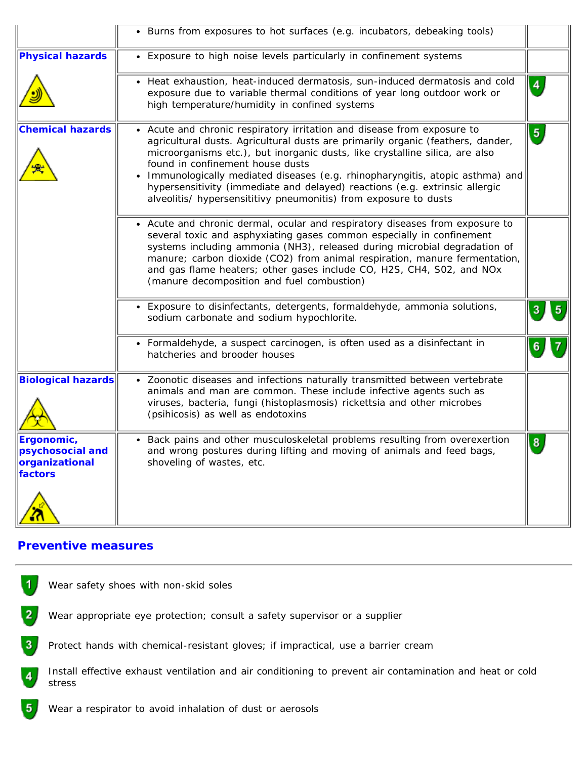|                                                             | • Burns from exposures to hot surfaces (e.g. incubators, debeaking tools)                                                                                                                                                                                                                                                                                                                                                                                                                                         |                |
|-------------------------------------------------------------|-------------------------------------------------------------------------------------------------------------------------------------------------------------------------------------------------------------------------------------------------------------------------------------------------------------------------------------------------------------------------------------------------------------------------------------------------------------------------------------------------------------------|----------------|
| <b>Physical hazards</b>                                     | • Exposure to high noise levels particularly in confinement systems                                                                                                                                                                                                                                                                                                                                                                                                                                               |                |
|                                                             | • Heat exhaustion, heat-induced dermatosis, sun-induced dermatosis and cold<br>exposure due to variable thermal conditions of year long outdoor work or<br>high temperature/humidity in confined systems                                                                                                                                                                                                                                                                                                          | $\overline{4}$ |
| <b>Chemical hazards</b>                                     | • Acute and chronic respiratory irritation and disease from exposure to<br>agricultural dusts. Agricultural dusts are primarily organic (feathers, dander,<br>microorganisms etc.), but inorganic dusts, like crystalline silica, are also<br>found in confinement house dusts<br>Immunologically mediated diseases (e.g. rhinopharyngitis, atopic asthma) and<br>hypersensitivity (immediate and delayed) reactions (e.g. extrinsic allergic<br>alveolitis/ hypersensititivy pneumonitis) from exposure to dusts | $\sqrt{5}$     |
|                                                             | • Acute and chronic dermal, ocular and respiratory diseases from exposure to<br>several toxic and asphyxiating gases common especially in confinement<br>systems including ammonia (NH3), released during microbial degradation of<br>manure; carbon dioxide (CO2) from animal respiration, manure fermentation,<br>and gas flame heaters; other gases include CO, H2S, CH4, S02, and NOx<br>(manure decomposition and fuel combustion)                                                                           |                |
|                                                             | • Exposure to disinfectants, detergents, formaldehyde, ammonia solutions,<br>sodium carbonate and sodium hypochlorite.                                                                                                                                                                                                                                                                                                                                                                                            | 3<br>5         |
|                                                             | • Formaldehyde, a suspect carcinogen, is often used as a disinfectant in<br>hatcheries and brooder houses                                                                                                                                                                                                                                                                                                                                                                                                         | 6              |
| <b>Biological hazards</b>                                   | • Zoonotic diseases and infections naturally transmitted between vertebrate<br>animals and man are common. These include infective agents such as<br>viruses, bacteria, fungi (histoplasmosis) rickettsia and other microbes<br>(psihicosis) as well as endotoxins                                                                                                                                                                                                                                                |                |
| Ergonomic,<br>psychosocial and<br>organizational<br>factors | • Back pains and other musculoskeletal problems resulting from overexertion<br>and wrong postures during lifting and moving of animals and feed bags,<br>shoveling of wastes, etc.                                                                                                                                                                                                                                                                                                                                | 8              |

#### **Preventive measures**

 $5<sub>1</sub>$ 

| Wear safety shoes with non-skid soles |
|---------------------------------------|
|---------------------------------------|

 $\overline{2}$ Wear appropriate eye protection; consult a safety supervisor or a supplier

 $\vert 3 \vert$ Protect hands with chemical-resistant gloves; if impractical, use a barrier cream

Install effective exhaust ventilation and air conditioning to prevent air contamination and heat or cold  $\overline{4}$ stress

Wear a respirator to avoid inhalation of dust or aerosols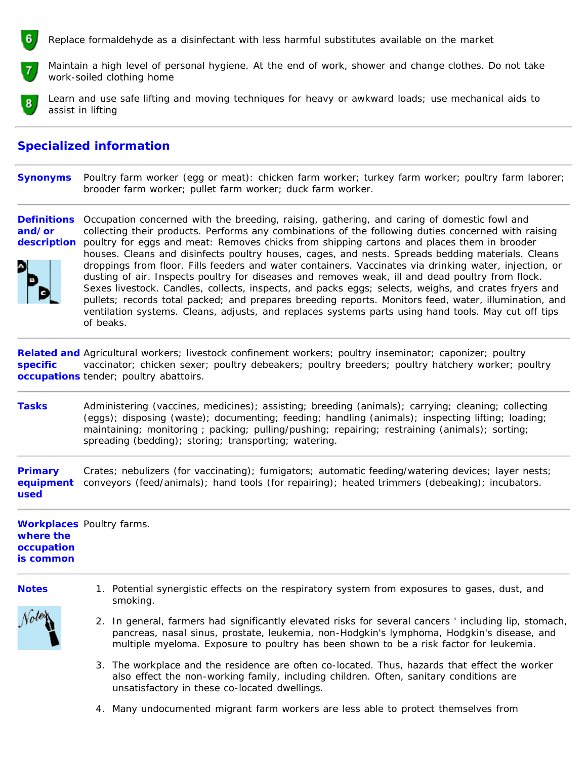Replace formaldehyde as a disinfectant with less harmful substitutes available on the market



Maintain a high level of personal hygiene. At the end of work, shower and change clothes. Do not take work-soiled clothing home

Learn and use safe lifting and moving techniques for heavy or awkward loads; use mechanical aids to assist in lifting

#### **Specialized information**

**Synonyms** Poultry farm worker (egg or meat): chicken farm worker; turkey farm worker; poultry farm laborer; brooder farm worker; pullet farm worker; duck farm worker.

**Definitions and/or description** poultry for eggs and meat: Removes chicks from shipping cartons and places them in brooder Occupation concerned with the breeding, raising, gathering, and caring of domestic fowl and collecting their products. Performs any combinations of the following duties concerned with raising houses. Cleans and disinfects poultry houses, cages, and nests. Spreads bedding materials. Cleans droppings from floor. Fills feeders and water containers. Vaccinates via drinking water, injection, or dusting of air. Inspects poultry for diseases and removes weak, ill and dead poultry from flock. Sexes livestock. Candles, collects, inspects, and packs eggs; selects, weighs, and crates fryers and pullets; records total packed; and prepares breeding reports. Monitors feed, water, illumination, and ventilation systems. Cleans, adjusts, and replaces systems parts using hand tools. May cut off tips of beaks.

Related and Agricultural workers; livestock confinement workers; poultry inseminator; caponizer; poultry **specific occupations** tender; poultry abattoirs. vaccinator; chicken sexer; poultry debeakers; poultry breeders; poultry hatchery worker; poultry

**Tasks** Administering (vaccines, medicines); assisting; breeding (animals); carrying; cleaning; collecting (eggs); disposing (waste); documenting; feeding; handling (animals); inspecting lifting; loading; maintaining; monitoring ; packing; pulling/pushing; repairing; restraining (animals); sorting; spreading (bedding); storing; transporting; watering.

**Primary equipment used** Crates; nebulizers (for vaccinating); fumigators; automatic feeding/watering devices; layer nests; conveyors (feed/animals); hand tools (for repairing); heated trimmers (debeaking); incubators.

**Workplaces** Poultry farms. **where the occupation is common**

**Notes** 1. Potential synergistic effects on the respiratory system from exposures to gases, dust, and smoking.



- 2. In general, farmers had significantly elevated risks for several cancers ' including lip, stomach, pancreas, nasal sinus, prostate, leukemia, non-Hodgkin's lymphoma, Hodgkin's disease, and multiple myeloma. Exposure to poultry has been shown to be a risk factor for leukemia.
- 3. The workplace and the residence are often co-located. Thus, hazards that effect the worker also effect the non-working family, including children. Often, sanitary conditions are unsatisfactory in these co-located dwellings.
- 4. Many undocumented migrant farm workers are less able to protect themselves from